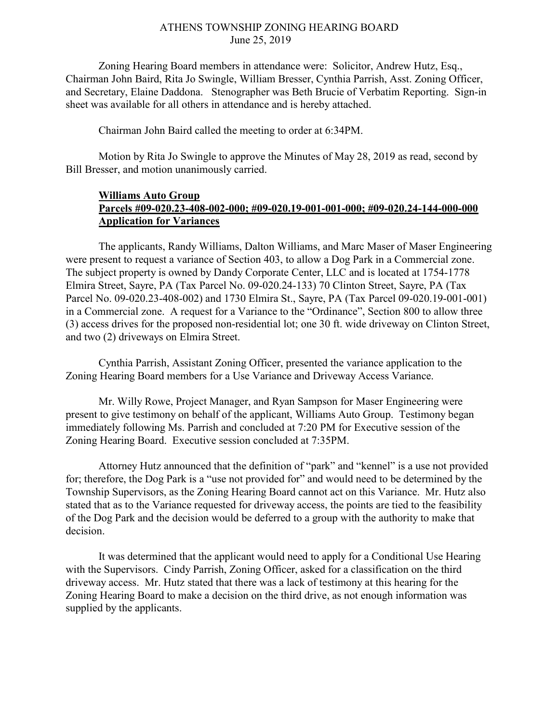## ATHENS TOWNSHIP ZONING HEARING BOARD June 25, 2019

Zoning Hearing Board members in attendance were: Solicitor, Andrew Hutz, Esq., Chairman John Baird, Rita Jo Swingle, William Bresser, Cynthia Parrish, Asst. Zoning Officer, and Secretary, Elaine Daddona. Stenographer was Beth Brucie of Verbatim Reporting. Sign-in sheet was available for all others in attendance and is hereby attached.

Chairman John Baird called the meeting to order at 6:34PM.

Motion by Rita Jo Swingle to approve the Minutes of May 28, 2019 as read, second by Bill Bresser, and motion unanimously carried.

## Williams Auto Group Parcels #09-020.23-408-002-000; #09-020.19-001-001-000; #09-020.24-144-000-000 Application for Variances

 The applicants, Randy Williams, Dalton Williams, and Marc Maser of Maser Engineering were present to request a variance of Section 403, to allow a Dog Park in a Commercial zone. The subject property is owned by Dandy Corporate Center, LLC and is located at 1754-1778 Elmira Street, Sayre, PA (Tax Parcel No. 09-020.24-133) 70 Clinton Street, Sayre, PA (Tax Parcel No. 09-020.23-408-002) and 1730 Elmira St., Sayre, PA (Tax Parcel 09-020.19-001-001) in a Commercial zone. A request for a Variance to the "Ordinance", Section 800 to allow three (3) access drives for the proposed non-residential lot; one 30 ft. wide driveway on Clinton Street, and two (2) driveways on Elmira Street.

 Cynthia Parrish, Assistant Zoning Officer, presented the variance application to the Zoning Hearing Board members for a Use Variance and Driveway Access Variance.

 Mr. Willy Rowe, Project Manager, and Ryan Sampson for Maser Engineering were present to give testimony on behalf of the applicant, Williams Auto Group. Testimony began immediately following Ms. Parrish and concluded at 7:20 PM for Executive session of the Zoning Hearing Board. Executive session concluded at 7:35PM.

 Attorney Hutz announced that the definition of "park" and "kennel" is a use not provided for; therefore, the Dog Park is a "use not provided for" and would need to be determined by the Township Supervisors, as the Zoning Hearing Board cannot act on this Variance. Mr. Hutz also stated that as to the Variance requested for driveway access, the points are tied to the feasibility of the Dog Park and the decision would be deferred to a group with the authority to make that decision.

 It was determined that the applicant would need to apply for a Conditional Use Hearing with the Supervisors. Cindy Parrish, Zoning Officer, asked for a classification on the third driveway access. Mr. Hutz stated that there was a lack of testimony at this hearing for the Zoning Hearing Board to make a decision on the third drive, as not enough information was supplied by the applicants.